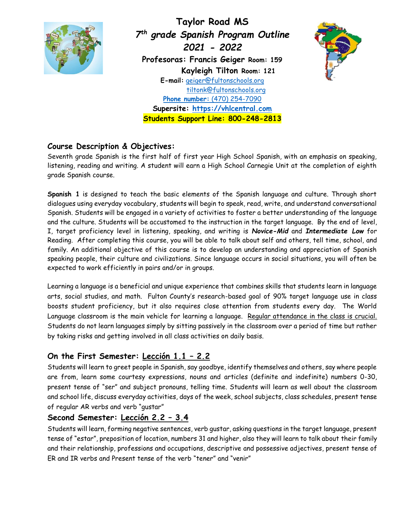

**Taylor Road MS** *7 th grade Spanish Program Outline 2021 - 2022* **Profesoras: Francis Geiger Room: 159 Kayleigh Tilton Room: 121 E-mail:** [geiger@fultonschools.org](mailto:geiger@fultonschools.org) tiltonk@fultonschools.org **Phone number:** (470) 254-7090 **Supersite: [https://vhlcentral.com](https://vhlcentral.com/) Students Support Line: 800-248-2813**



# **Course Description & Objectives:**

Seventh grade Spanish is the first half of first year High School Spanish, with an emphasis on speaking, listening, reading and writing. A student will earn a High School Carnegie Unit at the completion of eighth grade Spanish course.

**Spanish 1** is designed to teach the basic elements of the Spanish language and culture. Through short dialogues using everyday vocabulary, students will begin to speak, read, write, and understand conversational Spanish. Students will be engaged in a variety of activities to foster a better understanding of the language and the culture. Students will be accustomed to the instruction in the target language. By the end of level, I, target proficiency level in listening, speaking, and writing is *Novice-Mid* and *Intermediate Low* for Reading. After completing this course, you will be able to talk about self and others, tell time, school, and family. An additional objective of this course is to develop an understanding and appreciation of Spanish speaking people, their culture and civilizations. Since language occurs in social situations, you will often be expected to work efficiently in pairs and/or in groups.

Learning a language is a beneficial and unique experience that combines skills that students learn in language arts, social studies, and math. Fulton County's research-based goal of 90% target language use in class boosts student proficiency, but it also requires close attention from students every day. The World Language classroom is the main vehicle for learning a language. Regular attendance in the class is crucial. Students do not learn languages simply by sitting passively in the classroom over a period of time but rather by taking risks and getting involved in all class activities on daily basis.

# **On the First Semester: Lección 1.1 – 2.2**

Students will learn to greet people in Spanish, say goodbye, identify themselves and others, say where people are from, learn some courtesy expressions, nouns and articles (definite and indefinite) numbers 0-30, present tense of "ser" and subject pronouns, telling time. Students will learn as well about the classroom and school life, discuss everyday activities, days of the week, school subjects, class schedules, present tense of regular AR verbs and verb "gustar"

# **Second Semester: Lección 2.2 – 3.4**

Students will learn, forming negative sentences, verb gustar, asking questions in the target language, present tense of "estar", preposition of location, numbers 31 and higher, also they will learn to talk about their family and their relationship, professions and occupations, descriptive and possessive adjectives, present tense of ER and IR verbs and Present tense of the verb "tener" and "venir"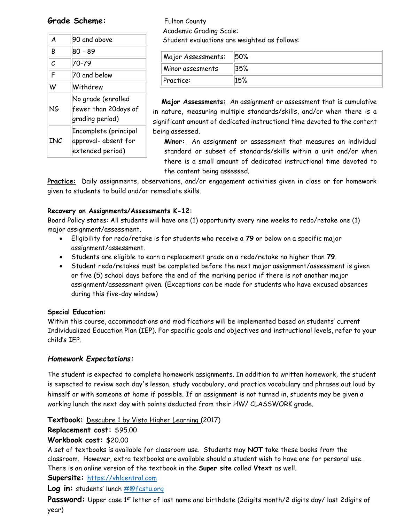### Grade Scheme: Fulton County

| A   | 90 and above                                                      |
|-----|-------------------------------------------------------------------|
| B   | 80 - 89                                                           |
| С   | 70-79                                                             |
| F   | 70 and below                                                      |
| W   | Withdrew                                                          |
| NG  | No grade (enrolled<br>fewer than 20days of<br>grading period)     |
| INC | Incomplete (principal<br>approval- absent for<br>extended period) |

 Academic Grading Scale: Student evaluations are weighted as follows:

| Major Assessments: | 50% |
|--------------------|-----|
| Minor assesments   | 35% |
| Practice:          |     |

 **Major Assessments:** An assignment or assessment that is cumulative in nature, measuring multiple standards/skills, and/or when there is a significant amount of dedicated instructional time devoted to the content being assessed.

**Minor:** An assignment or assessment that measures an individual standard or subset of standards/skills within a unit and/or when there is a small amount of dedicated instructional time devoted to the content being assessed.

**Practice:** Daily assignments, observations, and/or engagement activities given in class or for homework given to students to build and/or remediate skills.

#### **Recovery on Assignments/Assessments K-12:**

Board Policy states: All students will have one (1) opportunity every nine weeks to redo/retake one (1) major assignment/assessment.

- Eligibility for redo/retake is for students who receive a **79** or below on a specific major assignment/assessment.
- Students are eligible to earn a replacement grade on a redo/retake no higher than **79**.
- Student redo/retakes must be completed before the next major assignment/assessment is given or five (5) school days before the end of the marking period if there is not another major assignment/assessment given. (Exceptions can be made for students who have excused absences during this five-day window)

#### **Special Education:**

Within this course, accommodations and modifications will be implemented based on students' current Individualized Education Plan (IEP). For specific goals and objectives and instructional levels, refer to your child's IEP.

### *Homework Expectations:*

The student is expected to complete homework assignments. In addition to written homework, the student is expected to review each day's lesson, study vocabulary, and practice vocabulary and phrases out loud by himself or with someone at home if possible. If an assignment is not turned in, students may be given a working lunch the next day with points deducted from their HW/ CLASSWORK grade.

**Textbook:** Descubre 1 by Vista Higher Learning (2017)

### **Replacement cost:** \$95.00

### **Workbook cost:** \$20.00

A set of textbooks is available for classroom use. Students may **NOT** take these books from the classroom. However, extra textbooks are available should a student wish to have one for personal use. There is an online version of the textbook in the **Super site** called **Vtext** as well.

### Supersite: [https://vhlcentral.com](https://vhlcentral.com/)

### Log in: students' lunch **#@fcstu.org**

**Password:** Upper case 1<sup>st</sup> letter of last name and birthdate (2digits month/2 digits day/ last 2digits of year)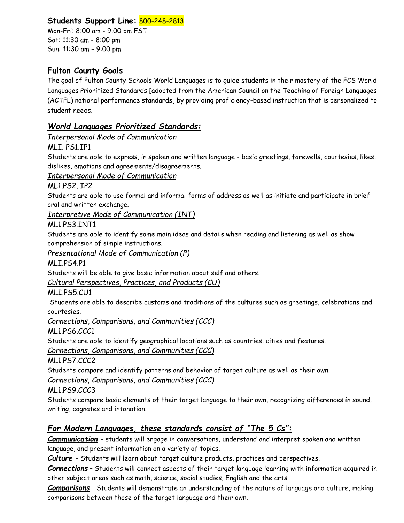# **Students Support Line:** 800-248-2813

Mon-Fri: 8:00 am - 9:00 pm EST Sat: 11:30 am - 8:00 pm Sun: 11:30 am – 9:00 pm

# **Fulton County Goals**

The goal of Fulton County Schools World Languages is to guide students in their mastery of the FCS World Languages Prioritized Standards [adopted from the American Council on the Teaching of Foreign Languages (ACTFL) national performance standards] by providing proficiency-based instruction that is personalized to student needs.

## *World Languages Prioritized Standards:*

### *Interpersonal Mode of Communication*

MLI. PS1.IP1

Students are able to express, in spoken and written language - basic greetings, farewells, courtesies, likes, dislikes, emotions and agreements/disagreements.

### *Interpersonal Mode of Communication*

ML1.PS2. IP2

Students are able to use formal and informal forms of address as well as initiate and participate in brief oral and written exchange.

*Interpretive Mode of Communication (INT)*

### ML1.PS3.INT1

Students are able to identify some main ideas and details when reading and listening as well as show comprehension of simple instructions.

*Presentational Mode of Communication (P)*

MLI.PS4.P1

Students will be able to give basic information about self and others.

*Cultural Perspectives, Practices, and Products (CU)*

MLI.PS5.CU1

Students are able to describe customs and traditions of the cultures such as greetings, celebrations and courtesies.

*Connections, Comparisons, and Communities (CCC)*

ML1.PS6.CCC1

Students are able to identify geographical locations such as countries, cities and features.

*Connections, Comparisons, and Communities (CCC)*

ML1.PS7.CCC2

Students compare and identify patterns and behavior of target culture as well as their own.

*Connections, Comparisons, and Communities (CCC)*

ML1.PS9.CCC3

Students compare basic elements of their target language to their own, recognizing differences in sound, writing, cognates and intonation.

## *For Modern Languages, these standards consist of "The 5 Cs":*

*Communication* – students will engage in conversations, understand and interpret spoken and written language, and present information on a variety of topics.

*Culture* – Students will learn about target culture products, practices and perspectives.

*Connections* – Students will connect aspects of their target language learning with information acquired in other subject areas such as math, science, social studies, English and the arts.

*Comparisons* – Students will demonstrate an understanding of the nature of language and culture, making comparisons between those of the target language and their own.